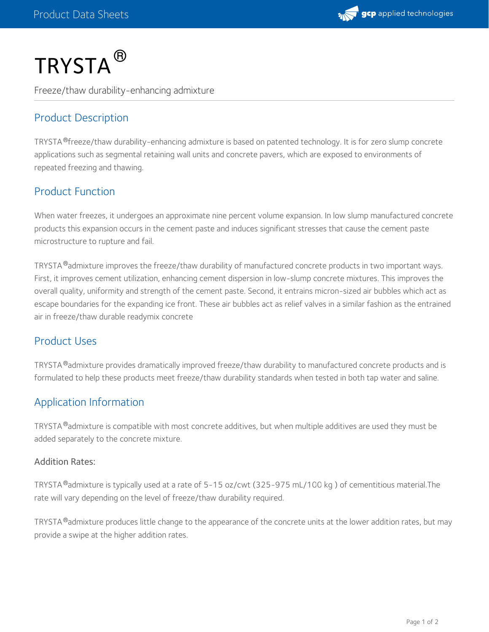

# $\mathsf{TRYSTA}^{\circledR}$

Freeze/thaw durability-enhancing admixture

# Product Description

TRYSTA®freeze/thaw durability-enhancing admixture is based on patented technology. It is for zero slump concrete applications such as segmental retaining wall units and concrete pavers, which are exposed to environments of repeated freezing and thawing.

## Product Function

When water freezes, it undergoes an approximate nine percent volume expansion. In low slump manufactured concrete products this expansion occurs in the cement paste and induces significant stresses that cause the cement paste microstructure to rupture and fail.

TRYSTA $^{\circledR}$ admixture improves the freeze/thaw durability of manufactured concrete products in two important ways. First, it improves cement utilization, enhancing cement dispersion in low-slump concrete mixtures. This improves the overall quality, uniformity and strength of the cement paste. Second, it entrains micron-sized air bubbles which act as escape boundaries for the expanding ice front. These air bubbles act as relief valves in a similar fashion as the entrained air in freeze/thaw durable readymix concrete

## Product Uses

<code>TRYSTA®</code>admixture provides dramatically improved freeze/thaw durability to manufactured concrete products and is formulated to help these products meet freeze/thaw durability standards when tested in both tap water and saline.

## Application Information

<code>TRYSTA®</code>admixture is compatible with most concrete additives, but when multiple additives are used they must be added separately to the concrete mixture.

#### Addition Rates:

TRYSTA®admixture is typically used at a rate of 5-15 oz/cwt (325-975 mL/100 kg ) of cementitious material.The rate will vary depending on the level of freeze/thaw durability required.

TRYSTA $^\circledR$ admixture produces little change to the appearance of the concrete units at the lower addition rates, but may provide a swipe at the higher addition rates.